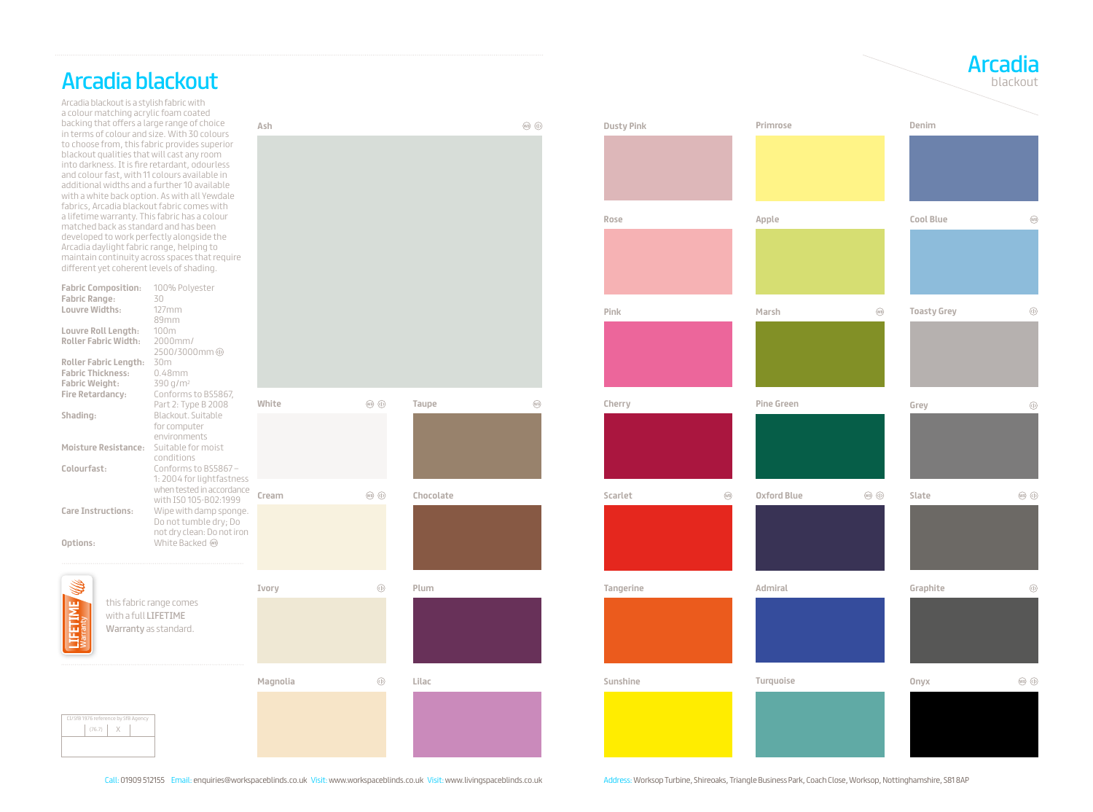

## Arcadia blackout

Arcadia blackout is a stylish fabric with a colour matching acrylic foam coated backing that offers a large range of choice in terms of colour and size. With 30 colours to choose from, this fabric provides superior blackout qualities that will cast any room into darkness. It is fire retardant, odourless and colour fast, with 11 colours available in additional widths and a further 10 available with a white back option. As with all Yewdale fabrics, Arcadia blackout fabric comes with a lifetime warranty. This fabric has a colour matched back as standard and has been developed to work perfectly alongside the Arcadia daylight fabric range, helping to maintain continuity across spaces that require different yet coherent levels of shading.

| <b>Fabric Composition:</b><br><b>Fabric Range:</b><br>Louvre Widths:<br>Louvre Roll Length:<br><b>Roller Fabric Width:</b><br><b>Roller Fabric Length:</b><br><b>Fabric Thickness:</b><br><b>Fabric Weight:</b> | 100% Polyester<br>30<br>$127$ mm<br>89mm<br>100m<br>2000mm/<br>2500/3000mm<br>30m<br>$0.48$ mm<br>390 g/m <sup>2</sup><br>Conforms to BS5867,<br>Part 2: Type B 2008<br>Blackout. Suitable<br>for computer<br>environments<br>Suitable for moist<br>conditions<br>Conforms to BS5867- |          |                                                                                                                                                                                                                                                                                                                                                     |           |             |
|-----------------------------------------------------------------------------------------------------------------------------------------------------------------------------------------------------------------|---------------------------------------------------------------------------------------------------------------------------------------------------------------------------------------------------------------------------------------------------------------------------------------|----------|-----------------------------------------------------------------------------------------------------------------------------------------------------------------------------------------------------------------------------------------------------------------------------------------------------------------------------------------------------|-----------|-------------|
| Fire Retardancy:                                                                                                                                                                                                |                                                                                                                                                                                                                                                                                       | White    | $\begin{picture}(0,4) \put(0,0){\line(1,0){155}} \put(0,0){\line(1,0){155}} \put(0,0){\line(1,0){155}} \put(0,0){\line(1,0){155}} \put(0,0){\line(1,0){155}} \put(0,0){\line(1,0){155}} \put(0,0){\line(1,0){155}} \put(0,0){\line(1,0){155}} \put(0,0){\line(1,0){155}} \put(0,0){\line(1,0){155}} \put(0,0){\line(1,0){155}} \put(0,0){\line(1,0$ | Taupe     | $\circledR$ |
| Shading:<br><b>Moisture Resistance:</b><br>Colourfast:                                                                                                                                                          |                                                                                                                                                                                                                                                                                       |          |                                                                                                                                                                                                                                                                                                                                                     |           |             |
|                                                                                                                                                                                                                 | 1:2004 for lightfastness<br>when tested in accordance<br>with ISO 105-B02:1999                                                                                                                                                                                                        | Cream    | $\begin{picture}(60,6) \put(0,0){\line(1,0){155}} \put(0,0){\line(1,0){155}} \put(0,0){\line(1,0){155}} \put(0,0){\line(1,0){155}} \put(0,0){\line(1,0){155}} \put(0,0){\line(1,0){155}} \put(0,0){\line(1,0){155}} \put(0,0){\line(1,0){155}} \put(0,0){\line(1,0){155}} \put(0,0){\line(1,0){155}} \put(0,0){\line(1,0){155}} \put(0,0){\line(1,$ | Chocolate |             |
| <b>Care Instructions:</b><br>Options:                                                                                                                                                                           | Wipe with damp sponge.<br>Do not tumble dry; Do<br>not dry clean: Do not iron<br>White Backed ®                                                                                                                                                                                       |          |                                                                                                                                                                                                                                                                                                                                                     |           |             |
|                                                                                                                                                                                                                 |                                                                                                                                                                                                                                                                                       | Ivory    | $\circledcirc$                                                                                                                                                                                                                                                                                                                                      | Plum      |             |
| this fabric range comes<br>with a full LIFETIME<br>Warranty as standard.                                                                                                                                        |                                                                                                                                                                                                                                                                                       |          |                                                                                                                                                                                                                                                                                                                                                     |           |             |
|                                                                                                                                                                                                                 |                                                                                                                                                                                                                                                                                       | Magnolia | $\circledR$                                                                                                                                                                                                                                                                                                                                         | Lilac     |             |
| CI/SfB 1976 reference by SfB Agency<br>(76.7)<br>$\times$                                                                                                                                                       |                                                                                                                                                                                                                                                                                       |          |                                                                                                                                                                                                                                                                                                                                                     |           |             |

**Ash**